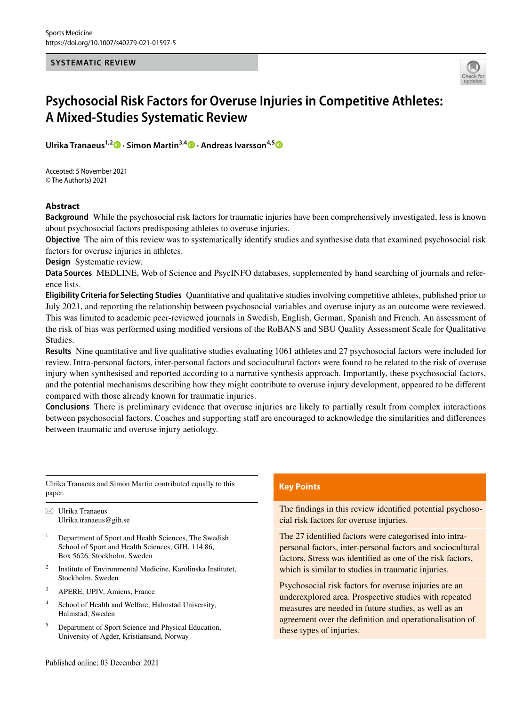#### **SYSTEMATIC REVIEW**



# **Psychosocial Risk Factors for Overuse Injuries in Competitive Athletes: A Mixed‑Studies Systematic Review**

**UlrikaTranaeus**<sup>1,2</sup><sup>0</sup> · Simon Martin<sup>3,[4](http://orcid.org/0000-0003-0882-383X)</sup><sup>0</sup> · Andreas Ivarsson<sup>4,[5](http://orcid.org/0000-0002-8987-5975)</sup><sup>0</sup>

Accepted: 5 November 2021 © The Author(s) 2021

## **Abstract**

**Background** While the psychosocial risk factors for traumatic injuries have been comprehensively investigated, less is known about psychosocial factors predisposing athletes to overuse injuries.

**Objective** The aim of this review was to systematically identify studies and synthesise data that examined psychosocial risk factors for overuse injuries in athletes.

**Design** Systematic review.

**Data Sources** MEDLINE, Web of Science and PsycINFO databases, supplemented by hand searching of journals and reference lists.

**Eligibility Criteria for Selecting Studies** Quantitative and qualitative studies involving competitive athletes, published prior to July 2021, and reporting the relationship between psychosocial variables and overuse injury as an outcome were reviewed. This was limited to academic peer-reviewed journals in Swedish, English, German, Spanish and French. An assessment of the risk of bias was performed using modifed versions of the RoBANS and SBU Quality Assessment Scale for Qualitative Studies.

**Results** Nine quantitative and fve qualitative studies evaluating 1061 athletes and 27 psychosocial factors were included for review. Intra-personal factors, inter-personal factors and sociocultural factors were found to be related to the risk of overuse injury when synthesised and reported according to a narrative synthesis approach. Importantly, these psychosocial factors, and the potential mechanisms describing how they might contribute to overuse injury development, appeared to be diferent compared with those already known for traumatic injuries.

**Conclusions** There is preliminary evidence that overuse injuries are likely to partially result from complex interactions between psychosocial factors. Coaches and supporting staf are encouraged to acknowledge the similarities and diferences between traumatic and overuse injury aetiology.

Ulrika Tranaeus and Simon Martin contributed equally to this paper.

 $\boxtimes$  Ulrika Tranaeus Ulrika.tranaeus@gih.se

- Department of Sport and Health Sciences, The Swedish School of Sport and Health Sciences, GIH, 114 86, Box 5626, Stockholm, Sweden
- <sup>2</sup> Institute of Environmental Medicine, Karolinska Institutet, Stockholm, Sweden
- <sup>3</sup> APERE, UPJV, Amiens, France
- <sup>4</sup> School of Health and Welfare, Halmstad University, Halmstad, Sweden
- <sup>5</sup> Department of Sport Science and Physical Education, University of Agder, Kristiansand, Norway

## **Key Points**

The fndings in this review identifed potential psychosocial risk factors for overuse injuries.

The 27 identifed factors were categorised into intrapersonal factors, inter-personal factors and sociocultural factors. Stress was identifed as one of the risk factors, which is similar to studies in traumatic injuries.

Psychosocial risk factors for overuse injuries are an underexplored area. Prospective studies with repeated measures are needed in future studies, as well as an agreement over the defnition and operationalisation of these types of injuries.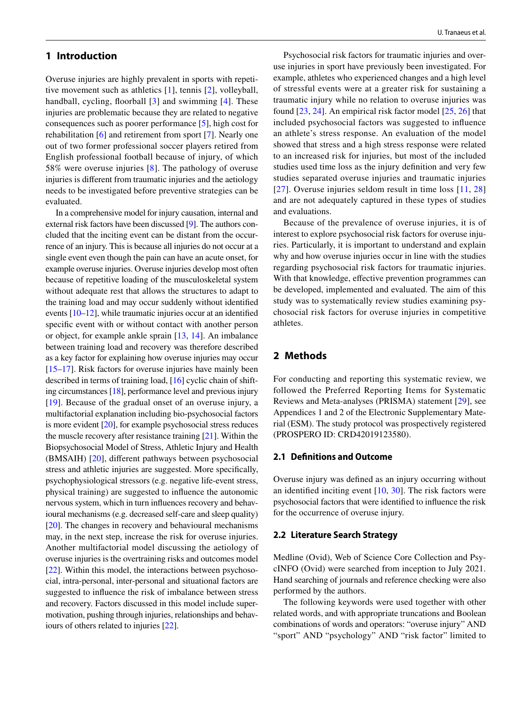## **1 Introduction**

Overuse injuries are highly prevalent in sports with repetitive movement such as athletics [[1\]](#page-14-0), tennis [\[2](#page-14-1)], volleyball, handball, cycling, floorball [\[3\]](#page-14-2) and swimming [\[4](#page-14-3)]. These injuries are problematic because they are related to negative consequences such as poorer performance [[5\]](#page-14-4), high cost for rehabilitation [[6](#page-14-5)] and retirement from sport [\[7\]](#page-14-6). Nearly one out of two former professional soccer players retired from English professional football because of injury, of which 58% were overuse injuries [[8\]](#page-14-7). The pathology of overuse injuries is diferent from traumatic injuries and the aetiology needs to be investigated before preventive strategies can be evaluated.

In a comprehensive model for injury causation, internal and external risk factors have been discussed [\[9](#page-14-8)]. The authors concluded that the inciting event can be distant from the occurrence of an injury. This is because all injuries do not occur at a single event even though the pain can have an acute onset, for example overuse injuries. Overuse injuries develop most often because of repetitive loading of the musculoskeletal system without adequate rest that allows the structures to adapt to the training load and may occur suddenly without identifed events [\[10–](#page-14-9)[12](#page-14-10)], while traumatic injuries occur at an identifed specifc event with or without contact with another person or object, for example ankle sprain [\[13,](#page-14-11) [14\]](#page-14-12). An imbalance between training load and recovery was therefore described as a key factor for explaining how overuse injuries may occur [\[15](#page-14-13)[–17](#page-14-14)]. Risk factors for overuse injuries have mainly been described in terms of training load, [\[16](#page-14-15)] cyclic chain of shifting circumstances [[18](#page-14-16)], performance level and previous injury [\[19\]](#page-14-17). Because of the gradual onset of an overuse injury, a multifactorial explanation including bio-psychosocial factors is more evident [\[20](#page-14-18)], for example psychosocial stress reduces the muscle recovery after resistance training  $[21]$  $[21]$  $[21]$ . Within the Biopsychosocial Model of Stress, Athletic Injury and Health (BMSAIH) [\[20](#page-14-18)], diferent pathways between psychosocial stress and athletic injuries are suggested. More specifcally, psychophysiological stressors (e.g. negative life-event stress, physical training) are suggested to infuence the autonomic nervous system, which in turn infuences recovery and behavioural mechanisms (e.g. decreased self-care and sleep quality) [\[20](#page-14-18)]. The changes in recovery and behavioural mechanisms may, in the next step, increase the risk for overuse injuries. Another multifactorial model discussing the aetiology of overuse injuries is the overtraining risks and outcomes model [\[22](#page-14-20)]. Within this model, the interactions between psychosocial, intra-personal, inter-personal and situational factors are suggested to infuence the risk of imbalance between stress and recovery. Factors discussed in this model include supermotivation, pushing through injuries, relationships and behaviours of others related to injuries [[22\]](#page-14-20).

Psychosocial risk factors for traumatic injuries and overuse injuries in sport have previously been investigated. For example, athletes who experienced changes and a high level of stressful events were at a greater risk for sustaining a traumatic injury while no relation to overuse injuries was found [\[23](#page-14-21), [24](#page-14-22)]. An empirical risk factor model [\[25](#page-14-23), [26](#page-14-24)] that included psychosocial factors was suggested to infuence an athlete's stress response. An evaluation of the model showed that stress and a high stress response were related to an increased risk for injuries, but most of the included studies used time loss as the injury defnition and very few studies separated overuse injuries and traumatic injuries [[27\]](#page-14-25). Overuse injuries seldom result in time loss [[11](#page-14-26), [28\]](#page-14-27) and are not adequately captured in these types of studies and evaluations.

Because of the prevalence of overuse injuries, it is of interest to explore psychosocial risk factors for overuse injuries. Particularly, it is important to understand and explain why and how overuse injuries occur in line with the studies regarding psychosocial risk factors for traumatic injuries. With that knowledge, effective prevention programmes can be developed, implemented and evaluated. The aim of this study was to systematically review studies examining psychosocial risk factors for overuse injuries in competitive athletes.

# **2 Methods**

For conducting and reporting this systematic review, we followed the Preferred Reporting Items for Systematic Reviews and Meta-analyses (PRISMA) statement [[29\]](#page-14-28), see Appendices 1 and 2 of the Electronic Supplementary Material (ESM). The study protocol was prospectively registered (PROSPERO ID: CRD42019123580).

## **2.1 Defnitions and Outcome**

Overuse injury was defned as an injury occurring without an identifed inciting event [\[10,](#page-14-9) [30](#page-14-29)]. The risk factors were psychosocial factors that were identifed to infuence the risk for the occurrence of overuse injury.

#### **2.2 Literature Search Strategy**

Medline (Ovid), Web of Science Core Collection and PsycINFO (Ovid) were searched from inception to July 2021. Hand searching of journals and reference checking were also performed by the authors.

The following keywords were used together with other related words, and with appropriate truncations and Boolean combinations of words and operators: "overuse injury" AND "sport" AND "psychology" AND "risk factor" limited to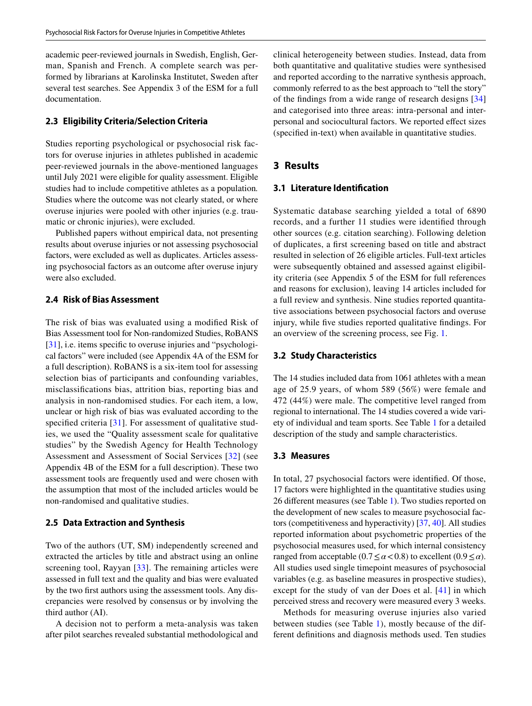academic peer-reviewed journals in Swedish, English, German, Spanish and French. A complete search was performed by librarians at Karolinska Institutet, Sweden after several test searches. See Appendix 3 of the ESM for a full documentation.

## **2.3 Eligibility Criteria/Selection Criteria**

Studies reporting psychological or psychosocial risk factors for overuse injuries in athletes published in academic peer-reviewed journals in the above-mentioned languages until July 2021 were eligible for quality assessment. Eligible studies had to include competitive athletes as a population*.* Studies where the outcome was not clearly stated, or where overuse injuries were pooled with other injuries (e.g. traumatic or chronic injuries), were excluded.

Published papers without empirical data, not presenting results about overuse injuries or not assessing psychosocial factors, were excluded as well as duplicates. Articles assessing psychosocial factors as an outcome after overuse injury were also excluded.

## **2.4 Risk of Bias Assessment**

The risk of bias was evaluated using a modifed Risk of Bias Assessment tool for Non-randomized Studies, RoBANS [\[31](#page-14-30)], i.e. items specific to overuse injuries and "psychological factors" were included (see Appendix 4A of the ESM for a full description). RoBANS is a six-item tool for assessing selection bias of participants and confounding variables, misclassifcations bias, attrition bias, reporting bias and analysis in non-randomised studies. For each item, a low, unclear or high risk of bias was evaluated according to the specified criteria [\[31\]](#page-14-30). For assessment of qualitative studies, we used the "Quality assessment scale for qualitative studies" by the Swedish Agency for Health Technology Assessment and Assessment of Social Services [[32\]](#page-14-31) (see Appendix 4B of the ESM for a full description). These two assessment tools are frequently used and were chosen with the assumption that most of the included articles would be non-randomised and qualitative studies.

#### **2.5 Data Extraction and Synthesis**

Two of the authors (UT, SM) independently screened and extracted the articles by title and abstract using an online screening tool, Rayyan [[33](#page-14-32)]. The remaining articles were assessed in full text and the quality and bias were evaluated by the two frst authors using the assessment tools. Any discrepancies were resolved by consensus or by involving the third author (AI).

A decision not to perform a meta-analysis was taken after pilot searches revealed substantial methodological and clinical heterogeneity between studies. Instead, data from both quantitative and qualitative studies were synthesised and reported according to the narrative synthesis approach, commonly referred to as the best approach to "tell the story" of the fndings from a wide range of research designs [[34](#page-14-33)] and categorised into three areas: intra-personal and interpersonal and sociocultural factors. We reported efect sizes (specifed in-text) when available in quantitative studies.

# **3 Results**

#### **3.1 Literature Identifcation**

Systematic database searching yielded a total of 6890 records, and a further 11 studies were identifed through other sources (e.g. citation searching). Following deletion of duplicates, a frst screening based on title and abstract resulted in selection of 26 eligible articles. Full-text articles were subsequently obtained and assessed against eligibility criteria (see Appendix 5 of the ESM for full references and reasons for exclusion), leaving 14 articles included for a full review and synthesis. Nine studies reported quantitative associations between psychosocial factors and overuse injury, while fve studies reported qualitative fndings. For an overview of the screening process, see Fig. [1.](#page-3-0)

#### **3.2 Study Characteristics**

The 14 studies included data from 1061 athletes with a mean age of 25.9 years, of whom 589 (56%) were female and 472 (44%) were male. The competitive level ranged from regional to international. The 14 studies covered a wide variety of individual and team sports. See Table [1](#page-4-0) for a detailed description of the study and sample characteristics.

#### **3.3 Measures**

In total, 27 psychosocial factors were identifed. Of those, 17 factors were highlighted in the quantitative studies using 26 diferent measures (see Table [1](#page-4-0)). Two studies reported on the development of new scales to measure psychosocial factors (competitiveness and hyperactivity) [\[37](#page-14-34), [40\]](#page-14-35). All studies reported information about psychometric properties of the psychosocial measures used, for which internal consistency ranged from acceptable  $(0.7 \le \alpha < 0.8)$  to excellent  $(0.9 \le \alpha)$ . All studies used single timepoint measures of psychosocial variables (e.g. as baseline measures in prospective studies), except for the study of van der Does et al. [[41](#page-14-36)] in which perceived stress and recovery were measured every 3 weeks.

Methods for measuring overuse injuries also varied between studies (see Table [1](#page-4-0)), mostly because of the different defnitions and diagnosis methods used. Ten studies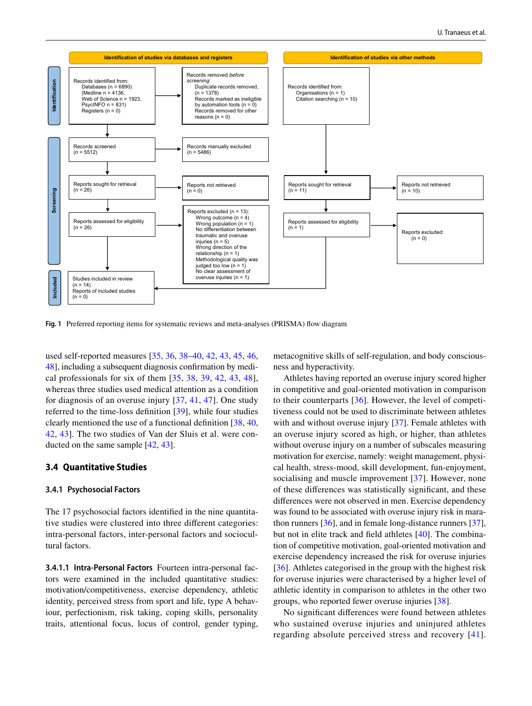

<span id="page-3-0"></span>**Fig. 1** Preferred reporting items for systematic reviews and meta-analyses (PRISMA) fow diagram

used self-reported measures [\[35](#page-14-37), [36](#page-14-38), [38–](#page-14-39)[40,](#page-14-35) [42](#page-15-0), [43](#page-15-1), [45](#page-15-2), [46,](#page-15-3) [48\]](#page-15-4), including a subsequent diagnosis confrmation by medical professionals for six of them  $[35, 38, 39, 42, 43, 48]$  $[35, 38, 39, 42, 43, 48]$  $[35, 38, 39, 42, 43, 48]$  $[35, 38, 39, 42, 43, 48]$  $[35, 38, 39, 42, 43, 48]$  $[35, 38, 39, 42, 43, 48]$  $[35, 38, 39, 42, 43, 48]$  $[35, 38, 39, 42, 43, 48]$  $[35, 38, 39, 42, 43, 48]$  $[35, 38, 39, 42, 43, 48]$  $[35, 38, 39, 42, 43, 48]$  $[35, 38, 39, 42, 43, 48]$  $[35, 38, 39, 42, 43, 48]$ , whereas three studies used medical attention as a condition for diagnosis of an overuse injury [[37,](#page-14-34) [41,](#page-14-36) [47](#page-15-5)]. One study referred to the time-loss defnition [\[39](#page-14-40)], while four studies clearly mentioned the use of a functional defnition [[38,](#page-14-39) [40,](#page-14-35) [42](#page-15-0), [43](#page-15-1)]. The two studies of Van der Sluis et al. were conducted on the same sample [\[42](#page-15-0), [43\]](#page-15-1).

#### **3.4 Quantitative Studies**

#### **3.4.1 Psychosocial Factors**

The 17 psychosocial factors identifed in the nine quantitative studies were clustered into three diferent categories: intra-personal factors, inter-personal factors and sociocultural factors.

**3.4.1.1 Intra‑Personal Factors** Fourteen intra-personal factors were examined in the included quantitative studies: motivation/competitiveness, exercise dependency, athletic identity, perceived stress from sport and life, type A behaviour, perfectionism, risk taking, coping skills, personality traits, attentional focus, locus of control, gender typing,

metacognitive skills of self-regulation, and body consciousness and hyperactivity.

Athletes having reported an overuse injury scored higher in competitive and goal-oriented motivation in comparison to their counterparts [[36](#page-14-38)]. However, the level of competitiveness could not be used to discriminate between athletes with and without overuse injury [[37\]](#page-14-34). Female athletes with an overuse injury scored as high, or higher, than athletes without overuse injury on a number of subscales measuring motivation for exercise, namely: weight management, physical health, stress-mood, skill development, fun-enjoyment, socialising and muscle improvement [\[37\]](#page-14-34). However, none of these diferences was statistically signifcant, and these diferences were not observed in men. Exercise dependency was found to be associated with overuse injury risk in marathon runners [\[36](#page-14-38)], and in female long-distance runners [\[37](#page-14-34)], but not in elite track and feld athletes [\[40](#page-14-35)]. The combination of competitive motivation, goal-oriented motivation and exercise dependency increased the risk for overuse injuries [[36\]](#page-14-38). Athletes categorised in the group with the highest risk for overuse injuries were characterised by a higher level of athletic identity in comparison to athletes in the other two groups, who reported fewer overuse injuries [[38\]](#page-14-39).

No signifcant diferences were found between athletes who sustained overuse injuries and uninjured athletes regarding absolute perceived stress and recovery [[41](#page-14-36)].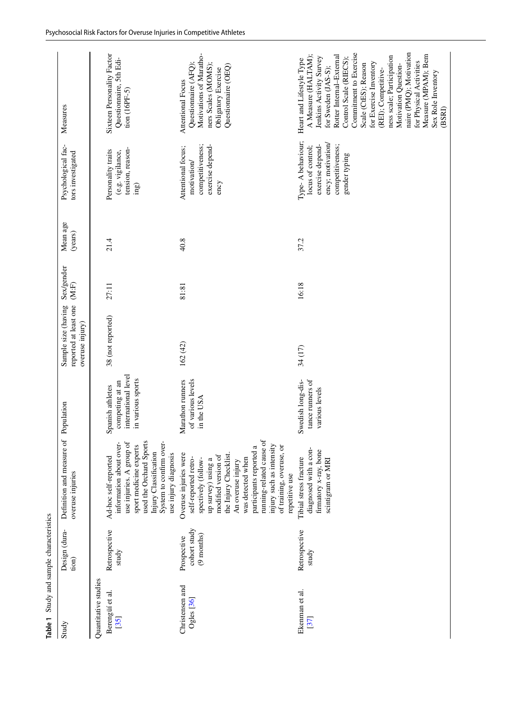<span id="page-4-0"></span>

| Table 1 Study and sample characteristics |                                             |                                                                                                                                                                                                                                                                                                                       |                                                                                 |                                                                 |                     |                     |                                                                                                                      |                                                                                                                                                                                                                                                                                                                                                                                                                              |
|------------------------------------------|---------------------------------------------|-----------------------------------------------------------------------------------------------------------------------------------------------------------------------------------------------------------------------------------------------------------------------------------------------------------------------|---------------------------------------------------------------------------------|-----------------------------------------------------------------|---------------------|---------------------|----------------------------------------------------------------------------------------------------------------------|------------------------------------------------------------------------------------------------------------------------------------------------------------------------------------------------------------------------------------------------------------------------------------------------------------------------------------------------------------------------------------------------------------------------------|
| Study                                    | Design (dura-<br>tion)                      | Definition and measure<br>overuse injuries                                                                                                                                                                                                                                                                            | of Population                                                                   | reported at least one<br>Sample size (having<br>overuse injury) | Sex/gender<br>(M.F) | Mean age<br>(years) | Psychological fac-<br>tors investigated                                                                              | Measures                                                                                                                                                                                                                                                                                                                                                                                                                     |
| Quantitative studies                     |                                             |                                                                                                                                                                                                                                                                                                                       |                                                                                 |                                                                 |                     |                     |                                                                                                                      |                                                                                                                                                                                                                                                                                                                                                                                                                              |
| Berengüí et al.<br>[35]                  | Retrospective<br>study                      | sport medicine experts<br>used the Orchard Sports<br>System to confirm over-<br>use injuries. A group of<br>information about over-<br>Injury Classification<br>use injury diagnosis<br>Ad-hoc self-reported                                                                                                          | international level<br>in various sports<br>competing at an<br>Spanish athletes | 38 (not reported)                                               | 27:11               | 21.4                | tension, reason-<br>Personality traits<br>(e.g. vigilance,<br>ing)                                                   | Sixteen Personality Factor<br>Questionnaire, 5th Edi-<br>$tion (16PF-5)$                                                                                                                                                                                                                                                                                                                                                     |
| Christensen and<br>Ogles [36]            | cohort study<br>$(9$ months)<br>Prospective | running-related cause of<br>injury such as intensity<br>of training, overuse, or<br>participants reported a<br>Overuse injuries were<br>the Injury Checklist.<br>modified version of<br>was detected when<br>self-reported retro-<br>spectively (follow-<br>up survey) using a<br>An overuse injury<br>repetitive use | of various levels<br>Marathon runners<br>in the USA                             | 162(42)                                                         | 81:81               | 40.8                | exercise depend-<br>competitiveness;<br>Attentional focus;<br>motivation<br>ency                                     | Motivations of Maratho-<br>Questionnaire (AFQ);<br>ners Scales (MOMS);<br>Questionnaire (OEQ)<br>Obligatory Exercise<br>Attentional Focus                                                                                                                                                                                                                                                                                    |
| Ekenman et al.<br>[37]                   | Retrospective<br>study                      | diagnosed with a con-<br>firmatory x-ray, bone<br>Tibial stress fracture<br>scintigram or MRI                                                                                                                                                                                                                         | tance runners of<br>Swedish long-dis-<br>various levels                         | 34 (17)                                                         | 16:18               | 37.2                | Type-A behaviour;<br>ency; motivation/<br>exercise depend-<br>competitiveness;<br>locus of control;<br>gender typing | naire (PMQ); Motivation<br>Commitment to Exercise<br>Measure (MPAM); Bem<br>A Measure (HALTAM);<br>Rotter Internal-External<br>ness scale; Participation<br>Control Scale (RIECS);<br>Jenkins Activity Survey<br>Heart and Lifestyle Type<br>for Physical Activities<br>for Exercise Inventory<br>Scale (CtES); Reason<br>Motivation Question-<br>for Sweden (JAS-S);<br>(REI); Competitive-<br>Sex Role Inventory<br>(BSRI) |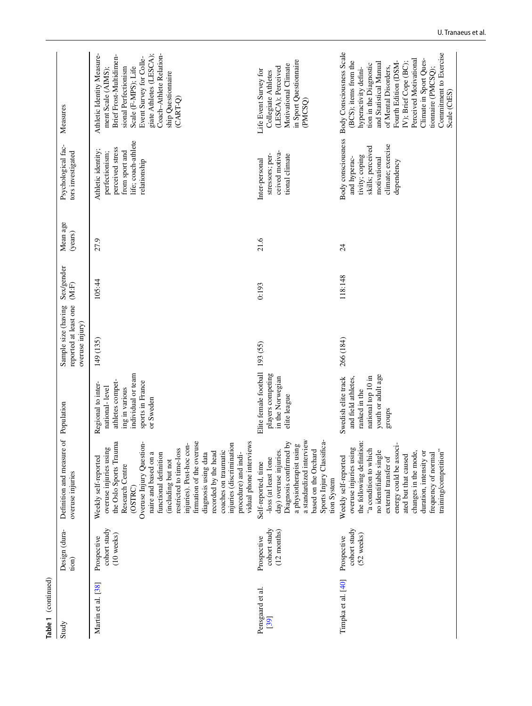| Table 1 (continued)      |                                                      |                                                                                                                                                                                                                                                                                                                                                                                                                                                     |                                                                                                                                   |                                                                 |                       |                     |                                                                                                                                     |                                                                                                                                                                                                                                                                                                                            |
|--------------------------|------------------------------------------------------|-----------------------------------------------------------------------------------------------------------------------------------------------------------------------------------------------------------------------------------------------------------------------------------------------------------------------------------------------------------------------------------------------------------------------------------------------------|-----------------------------------------------------------------------------------------------------------------------------------|-----------------------------------------------------------------|-----------------------|---------------------|-------------------------------------------------------------------------------------------------------------------------------------|----------------------------------------------------------------------------------------------------------------------------------------------------------------------------------------------------------------------------------------------------------------------------------------------------------------------------|
| Study                    | Design (dura-<br>tion)                               | Definition and measure<br>overuse injuries                                                                                                                                                                                                                                                                                                                                                                                                          | of Population                                                                                                                     | reported at least one<br>Sample size (having<br>overuse injury) | Sex/gender<br>$(M:F)$ | Mean age<br>(years) | Psychological fac-<br>tors investigated                                                                                             | Measures                                                                                                                                                                                                                                                                                                                   |
| Martin et al. [38]       | cohort study<br>$(10$ weeks)<br>Prospective          | firmation of the overuse<br>vidual phone interviews<br>the Oslo Sports Trauma<br>Overuse Injury Question-<br>injuries). Post-hoc con-<br>injuries (discrimination<br>overuse injuries using<br>restricted to time-loss<br>coaches on traumatic<br>recorded by the head<br>diagnosis using data<br>procedure) and indi-<br>naire and based on a<br>functional definition<br>Weekly self-reported<br>(including but not<br>Research Centre<br>(OSTRC) | individual or team<br>athletes compet-<br>sports in France<br>Regional to inter-<br>national-level<br>ing in various<br>or Sweden | 149 (135)                                                       | 105:44                | 27.9                | life; coach-athlete<br>perceived stress<br>Athletic identity;<br>from sport and<br>perfectionism;<br>relationship                   | giate Athletes (LESCA);<br>Athletic Identity Measure-<br>Coach-Athlete Relation-<br>Brief Frost-Multidimen-<br>Event Survey for Colle-<br>Scale (F-MPS); Life<br>sional Perfectionism<br>ment Scale (AIMS);<br>ship Questionnaire<br>(CART-Q)                                                                              |
| Pensgaard et al.<br>[39] | cohort study<br>$(12 \text{ months})$<br>Prospective | a standardized interview<br>Sports Injury Classifica-<br>Diagnosis confirmed by<br>a physiotherapist using<br>based on the Orchard<br>day) overuse injuries.<br>-loss (at least 1one<br>Self-reported, time<br>tion System                                                                                                                                                                                                                          | Elite female football<br>players competing<br>in the Norwegian<br>elite league                                                    | 193 (55)                                                        | 0:193                 | 21.6                | ceived motiva-<br>stressors; per-<br>tional climate<br>Inter-personal                                                               | in Sport Questionnaire<br>Motivational Climate<br>(LESCA); Perceived<br>Life Event Survey for<br>Collegiate Athletes<br>(PMCSO)                                                                                                                                                                                            |
| Timpka et al. [40]       | cohort study<br>(52 weeks)<br>Prospective            | the following definition:<br>energy could be associ-<br>overuse injuries using<br>"a condition to which<br>no identifiable single<br>training/competition"<br>duration, intensity or<br>changes in the mode,<br>frequency of normal<br>ated but that caused<br>external transfer of<br>Weekly self-reported                                                                                                                                         | youth or adult age<br>national top 10 in<br>and field athletes,<br>Swedish elite track<br>ranked in the<br>groups                 | 266 (184)                                                       | 118:148               | $\overline{24}$     | <b>Body</b> consciousness<br>climate; exercise<br>skills; perceived<br>tivity; coping<br>and hyperac-<br>motivational<br>dependency | Body Consciousness Scale<br>Commitment to Exercise<br>Perceived Motivational<br>Climate in Sport Ques-<br>(BCS); items from the<br>IV); Brief Cope (BC);<br>and Statistical Manual<br>tion in the Diagnostic<br>Fourth Edition (DSM<br>of Mental Disorders,<br>hyperactivity defini-<br>tionnaire (PMCSQ);<br>Scale (CtES) |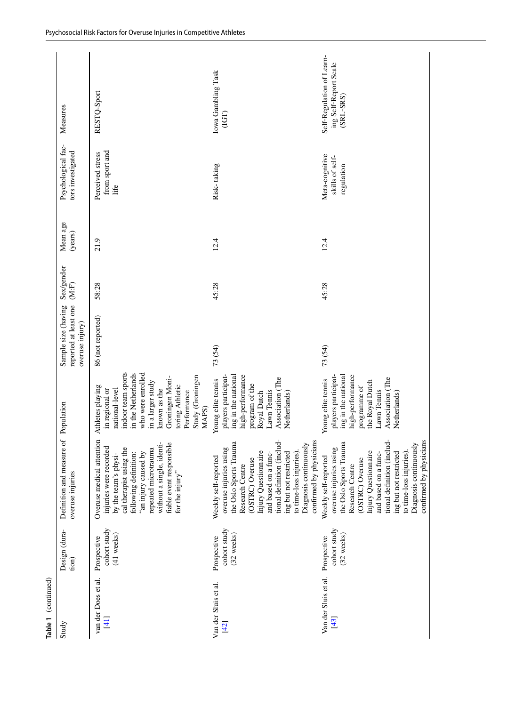| Table 1 (continued)            |                                           |                                                                                                                                                                                                                                                                                                        |                                                                                                                                                                                                                                              |                                                                 |                     |                     |                                                 |                                                                 |
|--------------------------------|-------------------------------------------|--------------------------------------------------------------------------------------------------------------------------------------------------------------------------------------------------------------------------------------------------------------------------------------------------------|----------------------------------------------------------------------------------------------------------------------------------------------------------------------------------------------------------------------------------------------|-----------------------------------------------------------------|---------------------|---------------------|-------------------------------------------------|-----------------------------------------------------------------|
| Study                          | Design (dura-<br>tion)                    | Definition and measure<br>overuse injuries                                                                                                                                                                                                                                                             | of Population                                                                                                                                                                                                                                | reported at least one<br>Sample size (having<br>overuse injury) | Sex/gender<br>(M.F) | Mean age<br>(years) | Psychological fac-<br>tors investigated         | Measures                                                        |
| van der Does et al.<br>$[4]$   | cohort study<br>(41 weeks)<br>Prospective | Overuse medical attention<br>without a single, identi-<br>fiable event responsible<br>injuries were recorded<br>repeated microtrauma<br>cal therapist using the<br>following definition:<br>"an injury caused by<br>by the team's physi-<br>for the injury"                                            | indoor team sports<br>in the Netherlands<br>who were enrolled<br>Study (Groningen<br>Groningen Moni-<br>in a larger study<br>toring Athletic<br>Athletes playing<br>known as the<br>national-level<br>in regional or<br>Performance<br>MAPS) | 86 (not reported)                                               | 58:28               | 21.9                | from sport and<br>Perceived stress<br>Life      | RESTQ-Sport                                                     |
| Van der Sluis et al.<br>[42]   | cohort study<br>(32 weeks)<br>Prospective | confirmed by physicians<br>tional definition (includ-<br>the Oslo Sports Trauma<br>Diagnosis continuously<br>overuse injuries using<br>Injury Questionnaire<br>and based on a func-<br>ing but not restricted<br>to time-loss injuries).<br>Weekly self-reported<br>(OSTRC) Overuse<br>Research Centre | players participat-<br>ing in the national<br>high-performance<br>Association (The<br>Young elite tennis<br>program of the<br>Lawn Tennis<br>Royal Dutch<br>Netherlands)                                                                     | 73 (54)                                                         | 45:28               | 12.4                | Risk-taking                                     | Iowa Gambling Task<br>(IGT)                                     |
| Van der Sluis et al.<br>$[43]$ | cohort study<br>(32 weeks)<br>Prospective | tional definition (includ-<br>confirmed by physicians<br>the Oslo Sports Trauma<br>Diagnosis continuously<br>overuse injuries using<br>Injury Questionnaire<br>and based on a func-<br>ing but not restricted<br>to time-loss injuries).<br>Weekly self-reported<br>(OSTRC) Overuse<br>Research Centre | ing in the national<br>high-performance<br>players participat-<br>Association (The<br>Young elite tennis<br>the Royal Dutch<br>programme of<br>Lawn Tennis<br>Netherlands)                                                                   | 73 (54)                                                         | 45:28               | 12.4                | Meta-cognitive<br>skills of self-<br>regulation | Self-Regulation of Learn-<br>ing Self-Report Scale<br>(SRL-SRS) |
|                                |                                           |                                                                                                                                                                                                                                                                                                        |                                                                                                                                                                                                                                              |                                                                 |                     |                     |                                                 |                                                                 |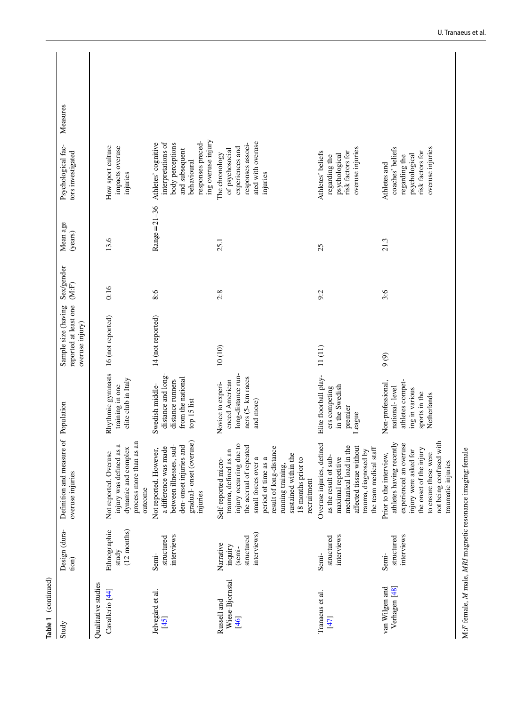| Table 1 (continued)                               |                                                             |                                                                                                                                                                                                                                                                |                                                                                                           |                                                                 |                     |                     |                                                                                                                                           |  |
|---------------------------------------------------|-------------------------------------------------------------|----------------------------------------------------------------------------------------------------------------------------------------------------------------------------------------------------------------------------------------------------------------|-----------------------------------------------------------------------------------------------------------|-----------------------------------------------------------------|---------------------|---------------------|-------------------------------------------------------------------------------------------------------------------------------------------|--|
| Study                                             | Design (dura-<br>tion)                                      | Definition and measure<br>overuse injuries                                                                                                                                                                                                                     | of Population                                                                                             | reported at least one<br>Sample size (having<br>overuse injury) | Sex/gender<br>(M.F) | Mean age<br>(years) | Measures<br>Psychological fac-<br>tors investigated                                                                                       |  |
| Qualitative studies<br>Cavallerio <sup>[44]</sup> | $(12 \text{ months})$<br>Ethnographic<br>study              | an<br>a<br>injury was defined as<br>dynamic and complex<br>process more than as<br>Not reported. Overuse<br>outcome                                                                                                                                            | Rhythmic gymnasts<br>elite club in Italy<br>training in one                                               | 16 (not reported)                                               | 0:16                | 13.6                | How sport culture<br>impacts overuse<br>injuries                                                                                          |  |
| Jelvegård et al.<br>[45]                          | interviews<br>structured<br>Semi-                           | gradual-onset (overuse)<br>a difference was made<br>between illnesses, sud-<br>den-onset injuries and<br>Not reported. However,<br>injuries                                                                                                                    | distance and long-<br>from the national<br>distance runners<br>Swedish middle-<br>top 15 list             | 14 (not reported)                                               | 8:6                 | $Range = 21 - 36$   | ing overuse injury<br>responses preced-<br>interpretations of<br>Athletes' cognitive<br>body perceptions<br>and subsequent<br>behavioural |  |
| Wiese-Bjornstal<br>Russell and<br>[46]            | interviews)<br>structured<br>Narrative<br>inquiry<br>(semi- | injury occurring due to<br>the accrual of repeated<br>result of long-distance<br>trauma, defined as an<br>sustained within the<br>small forces over a<br>period of time as a<br>18 months prior to<br>Self-reported micro-<br>running training,<br>recruitment | long-distance run-<br>ners (5- km races<br>enced American<br>Novice to experi-<br>and more)               | $10(10)$                                                        | 2.8                 | 25.1                | ated with overuse<br>responses associ-<br>experiences and<br>of psychosocial<br>The chronology<br>injuries                                |  |
| Tranaeus et al.<br>[47]                           | interviews<br>structured<br>Semi-                           | Overuse injuries, defined<br>affected tissue without<br>mechanical load in the<br>the team medical staff<br>trauma, diagnosed by<br>as the result of sub-<br>maximal repetitive                                                                                | Elite floorball play-<br>in the Swedish<br>ers competing<br>premier<br>League                             | 11(11)                                                          | 9:2                 | 25                  | overuse injuries<br>risk factors for<br>Athletes' beliefs<br>psychological<br>regarding the                                               |  |
| Verhagen [48]<br>van Wilgen and                   | interviews<br>structured<br>Semi-                           | not being confused with<br>athletes having recently<br>experienced an overuse<br>injury were asked for<br>the onset of the injury<br>to ensure these were<br>Prior to the interview,<br>traumatic injuries                                                     | athletes compet-<br>Non-professional,<br>national-level<br>ing in various<br>sports in the<br>Netherlands | 9(9)                                                            | 3:6                 | 21.3                | coaches' beliefs<br>overuse injuries<br>risk factors for<br>psychological<br>regarding the<br>Athletes and                                |  |
|                                                   |                                                             |                                                                                                                                                                                                                                                                |                                                                                                           |                                                                 |                     |                     |                                                                                                                                           |  |

M:F female, M male, MRI magnetic resonance imaging:female M:*F* female, *M* male, *MRI* magnetic resonance imaging:female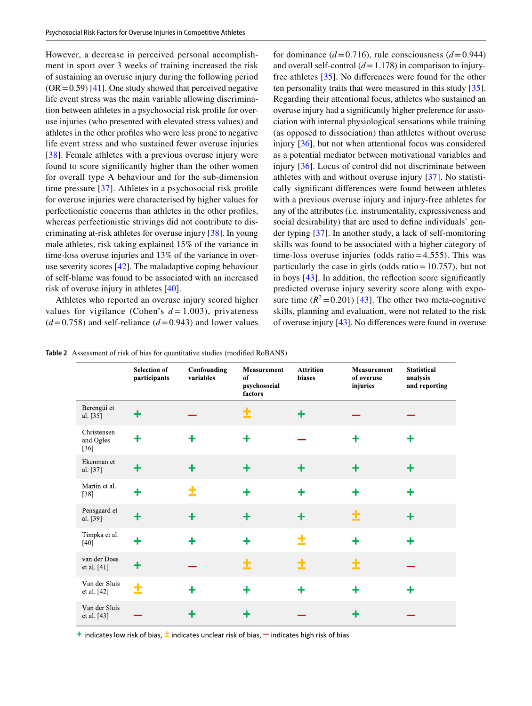However, a decrease in perceived personal accomplishment in sport over 3 weeks of training increased the risk of sustaining an overuse injury during the following period  $(OR = 0.59)$  [\[41](#page-14-36)]. One study showed that perceived negative life event stress was the main variable allowing discrimination between athletes in a psychosocial risk profle for overuse injuries (who presented with elevated stress values) and athletes in the other profles who were less prone to negative life event stress and who sustained fewer overuse injuries [\[38\]](#page-14-39). Female athletes with a previous overuse injury were found to score signifcantly higher than the other women for overall type A behaviour and for the sub-dimension time pressure [[37](#page-14-34)]. Athletes in a psychosocial risk profle for overuse injuries were characterised by higher values for perfectionistic concerns than athletes in the other profles, whereas perfectionistic strivings did not contribute to discriminating at-risk athletes for overuse injury [[38\]](#page-14-39). In young male athletes, risk taking explained 15% of the variance in time-loss overuse injuries and 13% of the variance in overuse severity scores [[42\]](#page-15-0). The maladaptive coping behaviour of self-blame was found to be associated with an increased risk of overuse injury in athletes [\[40](#page-14-35)].

Athletes who reported an overuse injury scored higher values for vigilance (Cohen's  $d = 1.003$ ), privateness  $(d=0.758)$  and self-reliance  $(d=0.943)$  and lower values for dominance  $(d=0.716)$ , rule consciousness  $(d=0.944)$ and overall self-control  $(d=1.178)$  in comparison to injuryfree athletes [[35\]](#page-14-37). No diferences were found for the other ten personality traits that were measured in this study [\[35](#page-14-37)]. Regarding their attentional focus, athletes who sustained an overuse injury had a signifcantly higher preference for association with internal physiological sensations while training (as opposed to dissociation) than athletes without overuse injury [[36\]](#page-14-38), but not when attentional focus was considered as a potential mediator between motivational variables and injury [[36\]](#page-14-38). Locus of control did not discriminate between athletes with and without overuse injury [[37\]](#page-14-34). No statistically signifcant diferences were found between athletes with a previous overuse injury and injury-free athletes for any of the attributes (i.e. instrumentality, expressiveness and social desirability) that are used to defne individuals' gender typing [[37\]](#page-14-34). In another study, a lack of self-monitoring skills was found to be associated with a higher category of time-loss overuse injuries (odds ratio=4.555). This was particularly the case in girls (odds ratio=10.757), but not in boys [\[43\]](#page-15-1). In addition, the refection score signifcantly predicted overuse injury severity score along with exposure time  $(R^2 = 0.201)$  [[43](#page-15-1)]. The other two meta-cognitive skills, planning and evaluation, were not related to the risk of overuse injury [\[43](#page-15-1)]. No diferences were found in overuse

<span id="page-8-0"></span>

|  | <b>Table 2</b> Assessment of risk of bias for quantitative studies (modified RoBANS) |  |  |  |  |  |  |  |
|--|--------------------------------------------------------------------------------------|--|--|--|--|--|--|--|
|--|--------------------------------------------------------------------------------------|--|--|--|--|--|--|--|

|                                    | <b>Selection of</b><br>participants | Confounding<br>variables | Measurement<br>of<br>psychosocial<br>factors | <b>Attrition</b><br>biases | <b>Measurement</b><br>of overuse<br>injuries | <b>Statistical</b><br>analysis<br>and reporting |
|------------------------------------|-------------------------------------|--------------------------|----------------------------------------------|----------------------------|----------------------------------------------|-------------------------------------------------|
| Berengüí et<br>al. [35]            | ╉                                   |                          | 土                                            | ╋                          |                                              |                                                 |
| Christensen<br>and Ogles<br>$[36]$ | ╋                                   | ╇                        | $\ddagger$                                   |                            | ╇                                            | ╋                                               |
| Ekenman et<br>al. [37]             | ╋                                   | $\ddot{}$                | $\ddagger$                                   | ╋                          | $\ddagger$                                   | $\ddagger$                                      |
| Martin et al.<br>$[38]$            | $\ddot{}$                           | ±                        | ╋                                            | ٠                          | ╇                                            | ╋                                               |
| Pensgaard et<br>al. [39]           | $\ddot{}$                           | $\ddot{}$                | $\ddot{}$                                    | $\ddot{}$                  |                                              | $\ddot{}$                                       |
| Timpka et al.<br>$[40]$            | ╋                                   | ╋                        | $\ddagger$                                   | ±                          | $\ddagger$                                   | $\ddag$                                         |
| van der Does<br>et al. [41]        | ╋                                   |                          | ±                                            | Ì                          | ±                                            |                                                 |
| Van der Sluis<br>et al. [42]       | ±                                   | ╇                        | $\ddot{}$                                    | ╋                          | $\ddagger$                                   | ╋                                               |
| Van der Sluis<br>et al. [43]       |                                     | ╉                        | ╋                                            |                            | ╋                                            |                                                 |

**+** indicates low risk of bias,  $\pm$  indicates unclear risk of bias,  $\pm$  indicates high risk of bias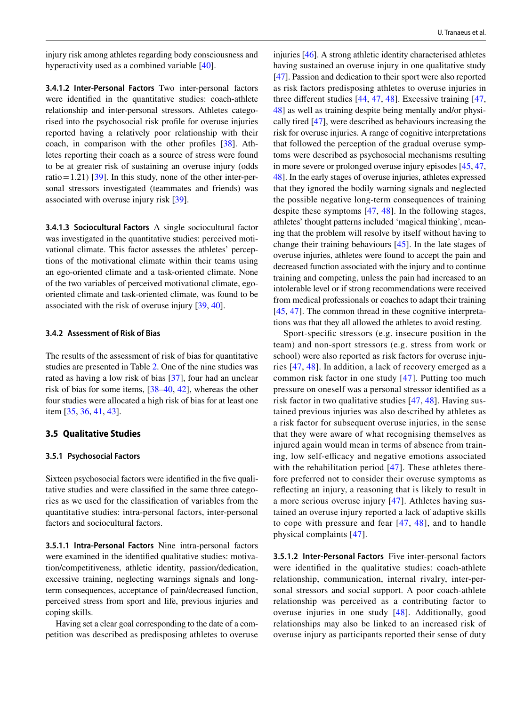injury risk among athletes regarding body consciousness and hyperactivity used as a combined variable [[40](#page-14-35)].

**3.4.1.2 Inter‑Personal Factors** Two inter-personal factors were identifed in the quantitative studies: coach-athlete relationship and inter-personal stressors. Athletes categorised into the psychosocial risk profle for overuse injuries reported having a relatively poor relationship with their coach, in comparison with the other profles [\[38](#page-14-39)]. Athletes reporting their coach as a source of stress were found to be at greater risk of sustaining an overuse injury (odds ratio = 1.21) [[39\]](#page-14-40). In this study, none of the other inter-personal stressors investigated (teammates and friends) was associated with overuse injury risk [[39\]](#page-14-40).

**3.4.1.3 Sociocultural Factors** A single sociocultural factor was investigated in the quantitative studies: perceived motivational climate. This factor assesses the athletes' perceptions of the motivational climate within their teams using an ego-oriented climate and a task-oriented climate. None of the two variables of perceived motivational climate, egooriented climate and task-oriented climate, was found to be associated with the risk of overuse injury [[39,](#page-14-40) [40\]](#page-14-35).

#### **3.4.2 Assessment of Risk of Bias**

The results of the assessment of risk of bias for quantitative studies are presented in Table [2.](#page-8-0) One of the nine studies was rated as having a low risk of bias [[37\]](#page-14-34), four had an unclear risk of bias for some items, [\[38](#page-14-39)[–40](#page-14-35), [42\]](#page-15-0), whereas the other four studies were allocated a high risk of bias for at least one item [[35,](#page-14-37) [36,](#page-14-38) [41](#page-14-36), [43](#page-15-1)].

## **3.5 Qualitative Studies**

#### **3.5.1 Psychosocial Factors**

Sixteen psychosocial factors were identified in the five qualitative studies and were classifed in the same three categories as we used for the classifcation of variables from the quantitative studies: intra-personal factors, inter-personal factors and sociocultural factors.

**3.5.1.1 Intra‑Personal Factors** Nine intra-personal factors were examined in the identifed qualitative studies: motivation/competitiveness, athletic identity, passion/dedication, excessive training, neglecting warnings signals and longterm consequences, acceptance of pain/decreased function, perceived stress from sport and life, previous injuries and coping skills.

Having set a clear goal corresponding to the date of a competition was described as predisposing athletes to overuse

injuries [[46](#page-15-3)]. A strong athletic identity characterised athletes having sustained an overuse injury in one qualitative study [\[47](#page-15-5)]. Passion and dedication to their sport were also reported as risk factors predisposing athletes to overuse injuries in three diferent studies [[44](#page-15-6), [47,](#page-15-5) [48](#page-15-4)]. Excessive training [[47,](#page-15-5) [48](#page-15-4)] as well as training despite being mentally and/or physically tired [[47\]](#page-15-5), were described as behaviours increasing the risk for overuse injuries. A range of cognitive interpretations that followed the perception of the gradual overuse symptoms were described as psychosocial mechanisms resulting in more severe or prolonged overuse injury episodes [\[45](#page-15-2), [47,](#page-15-5) [48](#page-15-4)]. In the early stages of overuse injuries, athletes expressed that they ignored the bodily warning signals and neglected the possible negative long-term consequences of training despite these symptoms [\[47,](#page-15-5) [48\]](#page-15-4). In the following stages, athletes' thought patterns included 'magical thinking', meaning that the problem will resolve by itself without having to change their training behaviours [[45\]](#page-15-2). In the late stages of overuse injuries, athletes were found to accept the pain and decreased function associated with the injury and to continue training and competing, unless the pain had increased to an intolerable level or if strong recommendations were received from medical professionals or coaches to adapt their training [\[45,](#page-15-2) [47\]](#page-15-5). The common thread in these cognitive interpretations was that they all allowed the athletes to avoid resting.

Sport-specifc stressors (e.g. insecure position in the team) and non-sport stressors (e.g. stress from work or school) were also reported as risk factors for overuse injuries [[47](#page-15-5), [48\]](#page-15-4). In addition, a lack of recovery emerged as a common risk factor in one study [\[47\]](#page-15-5). Putting too much pressure on oneself was a personal stressor identifed as a risk factor in two qualitative studies [[47,](#page-15-5) [48](#page-15-4)]. Having sustained previous injuries was also described by athletes as a risk factor for subsequent overuse injuries, in the sense that they were aware of what recognising themselves as injured again would mean in terms of absence from training, low self-efficacy and negative emotions associated with the rehabilitation period [[47](#page-15-5)]. These athletes therefore preferred not to consider their overuse symptoms as refecting an injury, a reasoning that is likely to result in a more serious overuse injury [[47\]](#page-15-5). Athletes having sustained an overuse injury reported a lack of adaptive skills to cope with pressure and fear [[47,](#page-15-5) [48\]](#page-15-4), and to handle physical complaints [[47](#page-15-5)].

**3.5.1.2 Inter‑Personal Factors** Five inter-personal factors were identifed in the qualitative studies: coach-athlete relationship, communication, internal rivalry, inter-personal stressors and social support. A poor coach-athlete relationship was perceived as a contributing factor to overuse injuries in one study [\[48\]](#page-15-4). Additionally, good relationships may also be linked to an increased risk of overuse injury as participants reported their sense of duty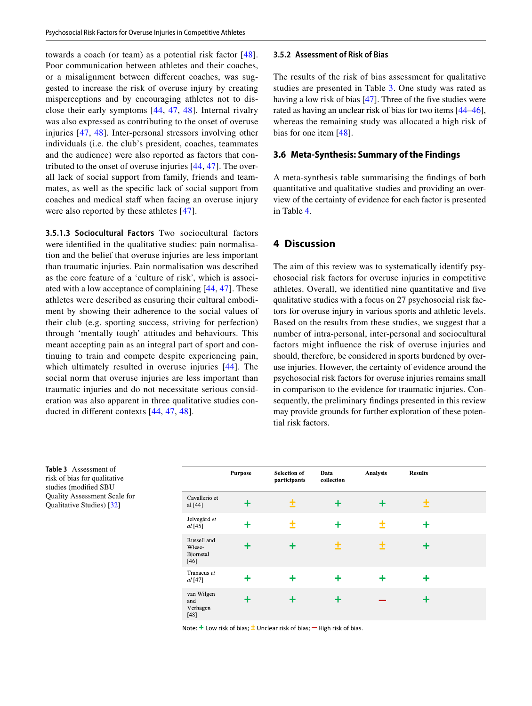towards a coach (or team) as a potential risk factor [[48](#page-15-4)]. Poor communication between athletes and their coaches, or a misalignment between diferent coaches, was suggested to increase the risk of overuse injury by creating misperceptions and by encouraging athletes not to disclose their early symptoms [[44](#page-15-6), [47,](#page-15-5) [48\]](#page-15-4). Internal rivalry was also expressed as contributing to the onset of overuse injuries [\[47,](#page-15-5) [48\]](#page-15-4). Inter-personal stressors involving other individuals (i.e. the club's president, coaches, teammates and the audience) were also reported as factors that contributed to the onset of overuse injuries [\[44,](#page-15-6) [47\]](#page-15-5). The overall lack of social support from family, friends and teammates, as well as the specifc lack of social support from coaches and medical staff when facing an overuse injury were also reported by these athletes [[47\]](#page-15-5).

**3.5.1.3 Sociocultural Factors** Two sociocultural factors were identifed in the qualitative studies: pain normalisation and the belief that overuse injuries are less important than traumatic injuries. Pain normalisation was described as the core feature of a 'culture of risk', which is associated with a low acceptance of complaining [[44](#page-15-6), [47](#page-15-5)]. These athletes were described as ensuring their cultural embodiment by showing their adherence to the social values of their club (e.g. sporting success, striving for perfection) through 'mentally tough' attitudes and behaviours. This meant accepting pain as an integral part of sport and continuing to train and compete despite experiencing pain, which ultimately resulted in overuse injuries [\[44\]](#page-15-6). The social norm that overuse injuries are less important than traumatic injuries and do not necessitate serious consideration was also apparent in three qualitative studies conducted in diferent contexts [[44](#page-15-6), [47,](#page-15-5) [48](#page-15-4)].

#### **3.5.2 Assessment of Risk of Bias**

The results of the risk of bias assessment for qualitative studies are presented in Table [3.](#page-10-0) One study was rated as having a low risk of bias [[47](#page-15-5)]. Three of the five studies were rated as having an unclear risk of bias for two items [[44–](#page-15-6)[46](#page-15-3)], whereas the remaining study was allocated a high risk of bias for one item [[48\]](#page-15-4).

## **3.6 Meta‑Synthesis: Summary of the Findings**

A meta-synthesis table summarising the fndings of both quantitative and qualitative studies and providing an overview of the certainty of evidence for each factor is presented in Table [4.](#page-11-0)

# **4 Discussion**

The aim of this review was to systematically identify psychosocial risk factors for overuse injuries in competitive athletes. Overall, we identifed nine quantitative and fve qualitative studies with a focus on 27 psychosocial risk factors for overuse injury in various sports and athletic levels. Based on the results from these studies, we suggest that a number of intra-personal, inter-personal and sociocultural factors might infuence the risk of overuse injuries and should, therefore, be considered in sports burdened by overuse injuries. However, the certainty of evidence around the psychosocial risk factors for overuse injuries remains small in comparison to the evidence for traumatic injuries. Consequently, the preliminary fndings presented in this review may provide grounds for further exploration of these potential risk factors.

<span id="page-10-0"></span>**Table 3** Assessment of risk of bias for qualitative studies (modifed SBU Quality Assessment Scale for Qualitative Studies) [[32](#page-14-31)]

|                                              | <b>Purpose</b> | <b>Selection of</b><br>participants | Data<br>collection | Analysis | <b>Results</b> |  |
|----------------------------------------------|----------------|-------------------------------------|--------------------|----------|----------------|--|
| Cavallerio et<br>al [44]                     |                | 土                                   | ╋                  |          | 土              |  |
| Jelvegård et<br>al [45]                      |                |                                     | ╋                  | ٠        |                |  |
| Russell and<br>Wiese-<br>Bjornstal<br>$[46]$ |                | ٠                                   | t                  | t        |                |  |
| Tranaeus et<br>$al$ [47]                     |                | ٠                                   | ٠                  |          |                |  |
| van Wilgen<br>and<br>Verhagen<br>$[48]$      | ٠              | ٠                                   | ٠                  |          |                |  |

Note:  $+$  Low risk of bias;  $\pm$  Unclear risk of bias;  $-$  High risk of bias.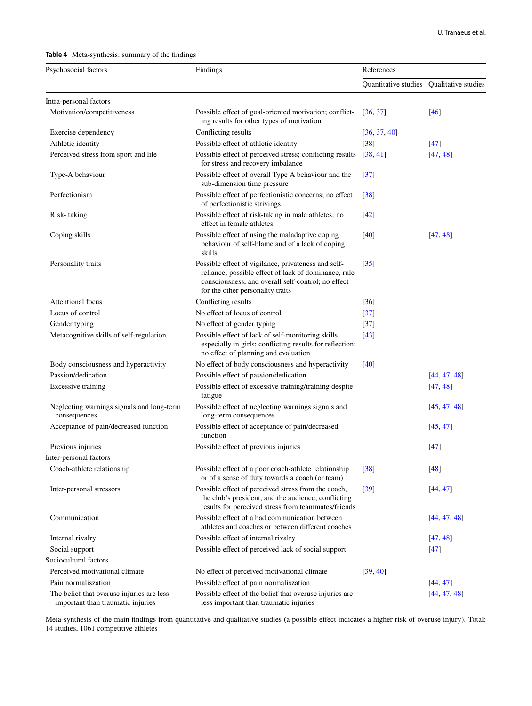#### U. Tranaeus et al.

<span id="page-11-0"></span>**Table 4** Meta-synthesis: summary of the fndings

| Psychosocial factors                                                           | Findings                                                                                                                                                                                               | References                               |                   |
|--------------------------------------------------------------------------------|--------------------------------------------------------------------------------------------------------------------------------------------------------------------------------------------------------|------------------------------------------|-------------------|
|                                                                                |                                                                                                                                                                                                        | Quantitative studies Qualitative studies |                   |
| Intra-personal factors                                                         |                                                                                                                                                                                                        |                                          |                   |
| Motivation/competitiveness                                                     | Possible effect of goal-oriented motivation; conflict-<br>ing results for other types of motivation                                                                                                    | [36, 37]                                 | [46]              |
| Exercise dependency                                                            | Conflicting results                                                                                                                                                                                    | [36, 37, 40]                             |                   |
| Athletic identity                                                              | Possible effect of athletic identity                                                                                                                                                                   | $[38]$                                   | $\left[47\right]$ |
| Perceived stress from sport and life                                           | Possible effect of perceived stress; conflicting results<br>for stress and recovery imbalance                                                                                                          | [38, 41]                                 | [47, 48]          |
| Type-A behaviour                                                               | Possible effect of overall Type A behaviour and the<br>sub-dimension time pressure                                                                                                                     | $[37]$                                   |                   |
| Perfectionism                                                                  | Possible effect of perfectionistic concerns; no effect<br>of perfectionistic strivings                                                                                                                 | [38]                                     |                   |
| Risk-taking                                                                    | Possible effect of risk-taking in male athletes; no<br>effect in female athletes                                                                                                                       | $[42]$                                   |                   |
| Coping skills                                                                  | Possible effect of using the maladaptive coping<br>behaviour of self-blame and of a lack of coping<br>skills                                                                                           | $[40]$                                   | [47, 48]          |
| Personality traits                                                             | Possible effect of vigilance, privateness and self-<br>reliance; possible effect of lack of dominance, rule-<br>consciousness, and overall self-control; no effect<br>for the other personality traits | $[35]$                                   |                   |
| <b>Attentional focus</b>                                                       | Conflicting results                                                                                                                                                                                    | [36]                                     |                   |
| Locus of control                                                               | No effect of locus of control                                                                                                                                                                          | $[37]$                                   |                   |
| Gender typing                                                                  | No effect of gender typing                                                                                                                                                                             | $[37]$                                   |                   |
| Metacognitive skills of self-regulation                                        | Possible effect of lack of self-monitoring skills,<br>especially in girls; conflicting results for reflection;<br>no effect of planning and evaluation                                                 | $[43]$                                   |                   |
| Body consciousness and hyperactivity                                           | No effect of body consciousness and hyperactivity                                                                                                                                                      | [40]                                     |                   |
| Passion/dedication                                                             | Possible effect of passion/dedication                                                                                                                                                                  |                                          | [44, 47, 48]      |
| <b>Excessive training</b>                                                      | Possible effect of excessive training/training despite<br>fatigue                                                                                                                                      |                                          | [47, 48]          |
| Neglecting warnings signals and long-term<br>consequences                      | Possible effect of neglecting warnings signals and<br>long-term consequences                                                                                                                           |                                          | [45, 47, 48]      |
| Acceptance of pain/decreased function                                          | Possible effect of acceptance of pain/decreased<br>function                                                                                                                                            |                                          | [45, 47]          |
| Previous injuries                                                              | Possible effect of previous injuries                                                                                                                                                                   |                                          | $[47]$            |
| Inter-personal factors                                                         |                                                                                                                                                                                                        |                                          |                   |
| Coach-athlete relationship                                                     | Possible effect of a poor coach-athlete relationship<br>or of a sense of duty towards a coach (or team)                                                                                                | $\lceil 38 \rceil$                       | $[48]$            |
| Inter-personal stressors                                                       | Possible effect of perceived stress from the coach,<br>the club's president, and the audience; conflicting<br>results for perceived stress from teammates/friends                                      | $\lceil 39 \rceil$                       | [44, 47]          |
| Communication                                                                  | Possible effect of a bad communication between<br>athletes and coaches or between different coaches                                                                                                    |                                          | [44, 47, 48]      |
| Internal rivalry                                                               | Possible effect of internal rivalry                                                                                                                                                                    |                                          | [47, 48]          |
| Social support                                                                 | Possible effect of perceived lack of social support                                                                                                                                                    |                                          | $[47]$            |
| Sociocultural factors                                                          |                                                                                                                                                                                                        |                                          |                   |
| Perceived motivational climate                                                 | No effect of perceived motivational climate                                                                                                                                                            | [39, 40]                                 |                   |
| Pain normaliszation                                                            | Possible effect of pain normaliszation                                                                                                                                                                 |                                          | [44, 47]          |
| The belief that overuse injuries are less<br>important than traumatic injuries | Possible effect of the belief that overuse injuries are<br>less important than traumatic injuries                                                                                                      |                                          | [44, 47, 48]      |

Meta-synthesis of the main fndings from quantitative and qualitative studies (a possible efect indicates a higher risk of overuse injury). Total: 14 studies, 1061 competitive athletes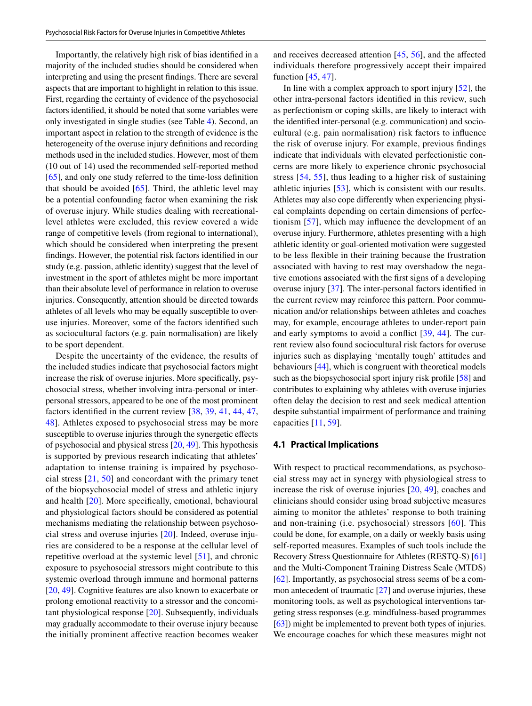Importantly, the relatively high risk of bias identifed in a majority of the included studies should be considered when interpreting and using the present fndings. There are several aspects that are important to highlight in relation to this issue. First, regarding the certainty of evidence of the psychosocial factors identifed, it should be noted that some variables were only investigated in single studies (see Table [4\)](#page-11-0). Second, an important aspect in relation to the strength of evidence is the heterogeneity of the overuse injury defnitions and recording methods used in the included studies. However, most of them (10 out of 14) used the recommended self-reported method [\[65](#page-15-7)], and only one study referred to the time-loss defnition that should be avoided  $[65]$  $[65]$  $[65]$ . Third, the athletic level may be a potential confounding factor when examining the risk of overuse injury. While studies dealing with recreationallevel athletes were excluded, this review covered a wide range of competitive levels (from regional to international), which should be considered when interpreting the present fndings. However, the potential risk factors identifed in our study (e.g. passion, athletic identity) suggest that the level of investment in the sport of athletes might be more important than their absolute level of performance in relation to overuse injuries. Consequently, attention should be directed towards athletes of all levels who may be equally susceptible to overuse injuries. Moreover, some of the factors identifed such as sociocultural factors (e.g. pain normalisation) are likely to be sport dependent.

Despite the uncertainty of the evidence, the results of the included studies indicate that psychosocial factors might increase the risk of overuse injuries. More specifcally, psychosocial stress, whether involving intra-personal or interpersonal stressors, appeared to be one of the most prominent factors identifed in the current review [\[38](#page-14-39), [39,](#page-14-40) [41,](#page-14-36) [44](#page-15-6), [47,](#page-15-5) [48](#page-15-4)]. Athletes exposed to psychosocial stress may be more susceptible to overuse injuries through the synergetic efects of psychosocial and physical stress [\[20](#page-14-18), [49\]](#page-15-8). This hypothesis is supported by previous research indicating that athletes' adaptation to intense training is impaired by psychosocial stress [[21](#page-14-19), [50](#page-15-9)] and concordant with the primary tenet of the biopsychosocial model of stress and athletic injury and health [[20](#page-14-18)]. More specifcally, emotional, behavioural and physiological factors should be considered as potential mechanisms mediating the relationship between psychosocial stress and overuse injuries [\[20](#page-14-18)]. Indeed, overuse injuries are considered to be a response at the cellular level of repetitive overload at the systemic level [[51\]](#page-15-10), and chronic exposure to psychosocial stressors might contribute to this systemic overload through immune and hormonal patterns [\[20](#page-14-18), [49](#page-15-8)]. Cognitive features are also known to exacerbate or prolong emotional reactivity to a stressor and the concomitant physiological response [[20](#page-14-18)]. Subsequently, individuals may gradually accommodate to their overuse injury because the initially prominent afective reaction becomes weaker and receives decreased attention [[45,](#page-15-2) [56](#page-15-11)], and the afected individuals therefore progressively accept their impaired function [[45,](#page-15-2) [47\]](#page-15-5).

In line with a complex approach to sport injury  $[52]$  $[52]$ , the other intra-personal factors identifed in this review, such as perfectionism or coping skills, are likely to interact with the identifed inter-personal (e.g. communication) and sociocultural (e.g. pain normalisation) risk factors to infuence the risk of overuse injury. For example, previous fndings indicate that individuals with elevated perfectionistic concerns are more likely to experience chronic psychosocial stress [[54,](#page-15-13) [55\]](#page-15-14), thus leading to a higher risk of sustaining athletic injuries [[53\]](#page-15-15), which is consistent with our results. Athletes may also cope diferently when experiencing physical complaints depending on certain dimensions of perfectionism [[57\]](#page-15-16), which may infuence the development of an overuse injury. Furthermore, athletes presenting with a high athletic identity or goal-oriented motivation were suggested to be less fexible in their training because the frustration associated with having to rest may overshadow the negative emotions associated with the frst signs of a developing overuse injury [\[37](#page-14-34)]. The inter-personal factors identifed in the current review may reinforce this pattern. Poor communication and/or relationships between athletes and coaches may, for example, encourage athletes to under-report pain and early symptoms to avoid a confict [[39](#page-14-40), [44\]](#page-15-6). The current review also found sociocultural risk factors for overuse injuries such as displaying 'mentally tough' attitudes and behaviours [\[44](#page-15-6)], which is congruent with theoretical models such as the biopsychosocial sport injury risk profile [\[58](#page-15-17)] and contributes to explaining why athletes with overuse injuries often delay the decision to rest and seek medical attention despite substantial impairment of performance and training capacities [[11,](#page-14-26) [59](#page-15-18)].

#### **4.1 Practical Implications**

With respect to practical recommendations, as psychosocial stress may act in synergy with physiological stress to increase the risk of overuse injuries [[20,](#page-14-18) [49\]](#page-15-8), coaches and clinicians should consider using broad subjective measures aiming to monitor the athletes' response to both training and non-training (i.e. psychosocial) stressors [\[60\]](#page-15-19). This could be done, for example, on a daily or weekly basis using self-reported measures. Examples of such tools include the Recovery Stress Questionnaire for Athletes (RESTQ-S) [\[61](#page-15-20)] and the Multi-Component Training Distress Scale (MTDS) [\[62](#page-15-21)]. Importantly, as psychosocial stress seems of be a common antecedent of traumatic [\[27](#page-14-25)] and overuse injuries, these monitoring tools, as well as psychological interventions targeting stress responses (e.g. mindfulness-based programmes [\[63](#page-15-22)]) might be implemented to prevent both types of injuries. We encourage coaches for which these measures might not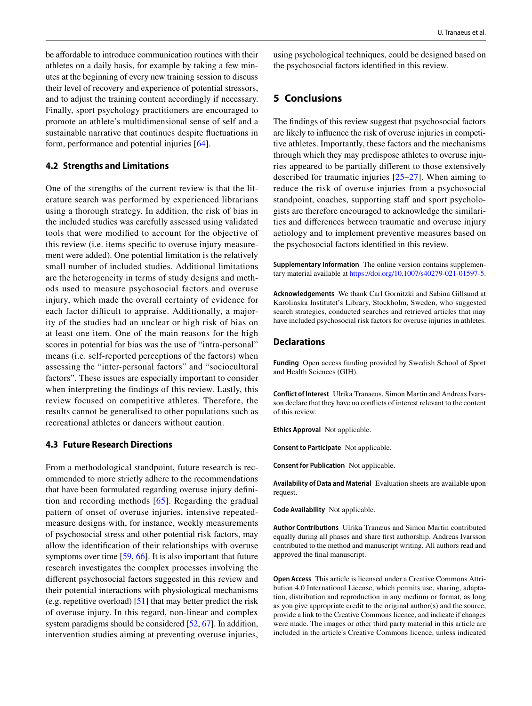be affordable to introduce communication routines with their athletes on a daily basis, for example by taking a few minutes at the beginning of every new training session to discuss their level of recovery and experience of potential stressors, and to adjust the training content accordingly if necessary. Finally, sport psychology practitioners are encouraged to promote an athlete's multidimensional sense of self and a sustainable narrative that continues despite fuctuations in form, performance and potential injuries [\[64](#page-15-23)].

#### **4.2 Strengths and Limitations**

One of the strengths of the current review is that the literature search was performed by experienced librarians using a thorough strategy. In addition, the risk of bias in the included studies was carefully assessed using validated tools that were modifed to account for the objective of this review (i.e. items specifc to overuse injury measurement were added). One potential limitation is the relatively small number of included studies. Additional limitations are the heterogeneity in terms of study designs and methods used to measure psychosocial factors and overuse injury, which made the overall certainty of evidence for each factor difficult to appraise. Additionally, a majority of the studies had an unclear or high risk of bias on at least one item. One of the main reasons for the high scores in potential for bias was the use of "intra-personal" means (i.e. self-reported perceptions of the factors) when assessing the "inter-personal factors" and "sociocultural factors". These issues are especially important to consider when interpreting the fndings of this review. Lastly, this review focused on competitive athletes. Therefore, the results cannot be generalised to other populations such as recreational athletes or dancers without caution.

## **4.3 Future Research Directions**

From a methodological standpoint, future research is recommended to more strictly adhere to the recommendations that have been formulated regarding overuse injury defnition and recording methods [[65](#page-15-7)]. Regarding the gradual pattern of onset of overuse injuries, intensive repeatedmeasure designs with, for instance, weekly measurements of psychosocial stress and other potential risk factors, may allow the identifcation of their relationships with overuse symptoms over time [[59,](#page-15-18) [66](#page-15-24)]. It is also important that future research investigates the complex processes involving the diferent psychosocial factors suggested in this review and their potential interactions with physiological mechanisms (e.g. repetitive overload) [\[51](#page-15-10)] that may better predict the risk of overuse injury. In this regard, non-linear and complex system paradigms should be considered [[52,](#page-15-12) [67](#page-15-25)]. In addition, intervention studies aiming at preventing overuse injuries, using psychological techniques, could be designed based on the psychosocial factors identifed in this review.

## **5 Conclusions**

The fndings of this review suggest that psychosocial factors are likely to infuence the risk of overuse injuries in competitive athletes. Importantly, these factors and the mechanisms through which they may predispose athletes to overuse injuries appeared to be partially diferent to those extensively described for traumatic injuries [[25](#page-14-23)[–27\]](#page-14-25). When aiming to reduce the risk of overuse injuries from a psychosocial standpoint, coaches, supporting staff and sport psychologists are therefore encouraged to acknowledge the similarities and diferences between traumatic and overuse injury aetiology and to implement preventive measures based on the psychosocial factors identifed in this review.

**Supplementary Information** The online version contains supplementary material available at<https://doi.org/10.1007/s40279-021-01597-5>.

**Acknowledgements** We thank Carl Gornitzki and Sabina Gillsund at Karolinska Institutet's Library, Stockholm, Sweden, who suggested search strategies, conducted searches and retrieved articles that may have included psychosocial risk factors for overuse injuries in athletes.

## **Declarations**

**Funding** Open access funding provided by Swedish School of Sport and Health Sciences (GIH).

**Conflict of Interest** Ulrika Tranaeus, Simon Martin and Andreas Ivarsson declare that they have no conficts of interest relevant to the content of this review.

**Ethics Approval** Not applicable.

**Consent to Participate** Not applicable.

**Consent for Publication** Not applicable.

**Availability of Data and Material** Evaluation sheets are available upon request.

**Code Availability** Not applicable.

**Author Contributions** Ulrika Tranæus and Simon Martin contributed equally during all phases and share frst authorship. Andreas Ivarsson contributed to the method and manuscript writing. All authors read and approved the fnal manuscript.

**Open Access** This article is licensed under a Creative Commons Attribution 4.0 International License, which permits use, sharing, adaptation, distribution and reproduction in any medium or format, as long as you give appropriate credit to the original author(s) and the source, provide a link to the Creative Commons licence, and indicate if changes were made. The images or other third party material in this article are included in the article's Creative Commons licence, unless indicated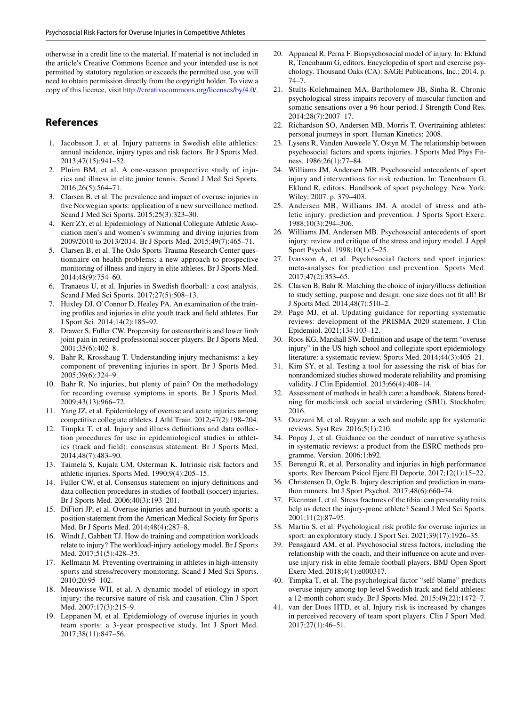otherwise in a credit line to the material. If material is not included in the article's Creative Commons licence and your intended use is not permitted by statutory regulation or exceeds the permitted use, you will need to obtain permission directly from the copyright holder. To view a copy of this licence, visit <http://creativecommons.org/licenses/by/4.0/>.

## **References**

- <span id="page-14-0"></span>1. Jacobsson J, et al. Injury patterns in Swedish elite athletics: annual incidence, injury types and risk factors. Br J Sports Med. 2013;47(15):941–52.
- <span id="page-14-1"></span>2. Pluim BM, et al. A one-season prospective study of injuries and illness in elite junior tennis. Scand J Med Sci Sports. 2016;26(5):564–71.
- <span id="page-14-2"></span>3. Clarsen B, et al. The prevalence and impact of overuse injuries in five Norwegian sports: application of a new surveillance method. Scand J Med Sci Sports. 2015;25(3):323–30.
- <span id="page-14-3"></span>4. Kerr ZY, et al. Epidemiology of National Collegiate Athletic Association men's and women's swimming and diving injuries from 2009/2010 to 2013/2014. Br J Sports Med. 2015;49(7):465–71.
- <span id="page-14-4"></span>5. Clarsen B, et al. The Oslo Sports Trauma Research Center questionnaire on health problems: a new approach to prospective monitoring of illness and injury in elite athletes. Br J Sports Med. 2014;48(9):754–60.
- <span id="page-14-5"></span>6. Tranaeus U, et al. Injuries in Swedish foorball: a cost analysis. Scand J Med Sci Sports. 2017;27(5):508–13.
- <span id="page-14-6"></span>7. Huxley DJ, O'Connor D, Healey PA. An examination of the training profles and injuries in elite youth track and feld athletes. Eur J Sport Sci. 2014;14(2):185–92.
- <span id="page-14-7"></span>8. Drawer S, Fuller CW. Propensity for osteoarthritis and lower limb joint pain in retired professional soccer players. Br J Sports Med. 2001;35(6):402–8.
- <span id="page-14-8"></span>9. Bahr R, Krosshaug T. Understanding injury mechanisms: a key component of preventing injuries in sport. Br J Sports Med. 2005;39(6):324–9.
- <span id="page-14-9"></span>10. Bahr R. No injuries, but plenty of pain? On the methodology for recording overuse symptoms in sports. Br J Sports Med. 2009;43(13):966–72.
- <span id="page-14-26"></span>11. Yang JZ, et al. Epidemiology of overuse and acute injuries among competitive collegiate athletes. J Athl Train. 2012;47(2):198–204.
- <span id="page-14-10"></span>12. Timpka T, et al. Injury and illness defnitions and data collection procedures for use in epidemiological studies in athletics (track and field): consensus statement. Br J Sports Med. 2014;48(7):483–90.
- <span id="page-14-11"></span>13. Taimela S, Kujala UM, Osterman K. Intrinsic risk factors and athletic injuries. Sports Med. 1990;9(4):205–15.
- <span id="page-14-12"></span>14. Fuller CW, et al. Consensus statement on injury defnitions and data collection procedures in studies of football (soccer) injuries. Br J Sports Med. 2006;40(3):193–201.
- <span id="page-14-13"></span>15. DiFiori JP, et al. Overuse injuries and burnout in youth sports: a position statement from the American Medical Society for Sports Med. Br J Sports Med. 2014;48(4):287–8.
- <span id="page-14-15"></span>16. Windt J, Gabbett TJ. How do training and competition workloads relate to injury? The workload-injury aetiology model. Br J Sports Med. 2017;51(5):428–35.
- <span id="page-14-14"></span>17. Kellmann M. Preventing overtraining in athletes in high-intensity sports and stress/recovery monitoring. Scand J Med Sci Sports. 2010;20:95–102.
- <span id="page-14-16"></span>18. Meeuwisse WH, et al. A dynamic model of etiology in sport injury: the recursive nature of risk and causation. Clin J Sport Med. 2007;17(3):215–9.
- <span id="page-14-17"></span>19. Leppanen M, et al. Epidemiology of overuse injuries in youth team sports: a 3-year prospective study. Int J Sport Med. 2017;38(11):847–56.
- <span id="page-14-18"></span>20. Appaneal R, Perna F. Biopsychosocial model of injury. In: Eklund R, Tenenbaum G, editors. Encyclopedia of sport and exercise psychology. Thousand Oaks (CA): SAGE Publications, Inc.; 2014. p. 74–7.
- <span id="page-14-19"></span>21. Stults-Kolehmainen MA, Bartholomew JB, Sinha R. Chronic psychological stress impairs recovery of muscular function and somatic sensations over a 96-hour period. J Strength Cond Res. 2014;28(7):2007–17.
- <span id="page-14-20"></span>22. Richardson SO, Andersen MB, Morris T. Overtraining athletes: personal journeys in sport. Human Kinetics; 2008.
- <span id="page-14-21"></span>23. Lysens R, Vanden Auweele Y, Ostyn M. The relationship between psychosocial factors and sports injuries. J Sports Med Phys Fitness. 1986;26(1):77–84.
- <span id="page-14-22"></span>24. Williams JM, Andersen MB. Psychosocial antecedents of sport injury and interventions for risk reduction. In: Tenenbaum G, Eklund R, editors. Handbook of sport psychology. New York: Wiley; 2007. p. 379–403.
- <span id="page-14-23"></span>25. Andersen MB, Williams JM. A model of stress and athletic injury: prediction and prevention. J Sports Sport Exerc. 1988;10(3):294–306.
- <span id="page-14-24"></span>26. Williams JM, Andersen MB. Psychosocial antecedents of sport injury: review and critique of the stress and injury model. J Appl Sport Psychol. 1998;10(1):5–25.
- <span id="page-14-25"></span>27. Ivarsson A, et al. Psychosocial factors and sport injuries: meta-analyses for prediction and prevention. Sports Med. 2017;47(2):353–65.
- <span id="page-14-27"></span>28. Clarsen B, Bahr R. Matching the choice of injury/illness defnition to study setting, purpose and design: one size does not ft all! Br J Sports Med. 2014;48(7):510–2.
- <span id="page-14-28"></span>29. Page MJ, et al. Updating guidance for reporting systematic reviews: development of the PRISMA 2020 statement. J Clin Epidemiol. 2021;134:103–12.
- <span id="page-14-29"></span>30. Roos KG, Marshall SW. Defnition and usage of the term "overuse injury" in the US high school and collegiate sport epidemiology literature: a systematic review. Sports Med. 2014;44(3):405–21.
- <span id="page-14-30"></span>31. Kim SY, et al. Testing a tool for assessing the risk of bias for nonrandomized studies showed moderate reliability and promising validity. J Clin Epidemiol. 2013;66(4):408–14.
- <span id="page-14-31"></span>32. Assessment of methods in health care: a handbook. Statens beredning för medicinsk och social utvärdering (SBU). Stockholm; 2016.
- <span id="page-14-32"></span>33. Ouzzani M, et al. Rayyan: a web and mobile app for systematic reviews. Syst Rev. 2016;5(1):210.
- <span id="page-14-33"></span>34. Popay J, et al. Guidance on the conduct of narrative synthesis in systematic reviews: a product from the ESRC methods programme. Version. 2006;1:b92.
- <span id="page-14-37"></span>35. Berengui R, et al. Personality and injuries in high performance sports. Rev Iberoam Psicol Ejerc El Deporte. 2017;12(1):15–22.
- <span id="page-14-38"></span>36. Christensen D, Ogle B. Injury description and prediction in marathon runners. Int J Sport Psychol. 2017;48(6):660–74.
- <span id="page-14-34"></span>37. Ekenman I, et al. Stress fractures of the tibia: can personality traits help us detect the injury-prone athlete? Scand J Med Sci Sports. 2001;11(2):87–95.
- <span id="page-14-39"></span>38. Martin S, et al. Psychological risk profle for overuse injuries in sport: an exploratory study. J Sport Sci. 2021;39(17):1926–35.
- <span id="page-14-40"></span>39. Pensgaard AM, et al. Psychosocial stress factors, including the relationship with the coach, and their infuence on acute and overuse injury risk in elite female football players. BMJ Open Sport Exerc Med. 2018;4(1):e000317.
- <span id="page-14-35"></span>40. Timpka T, et al. The psychological factor "self-blame" predicts overuse injury among top-level Swedish track and feld athletes: a 12-month cohort study. Br J Sports Med. 2015;49(22):1472–7.
- <span id="page-14-36"></span>41. van der Does HTD, et al. Injury risk is increased by changes in perceived recovery of team sport players. Clin J Sport Med. 2017;27(1):46–51.